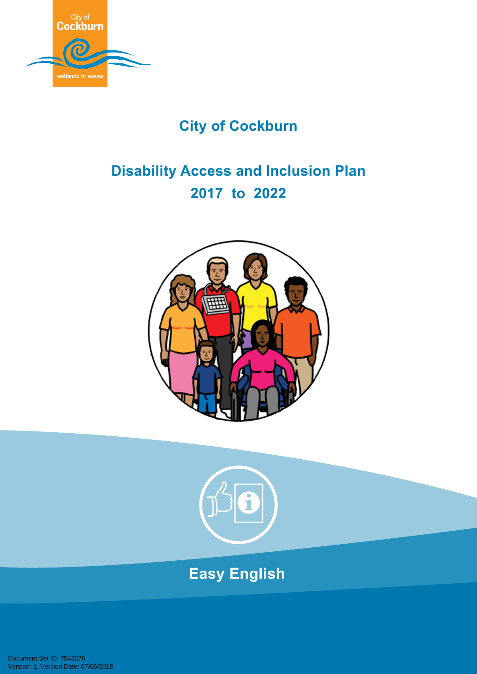

## **City of Cockburn**

# **Disability Access and Inclusion Plan 2017 to 2022**





# **Easy English**

Document Set ID: 7543576<br>Version: 1, Version Date: 07/06/2018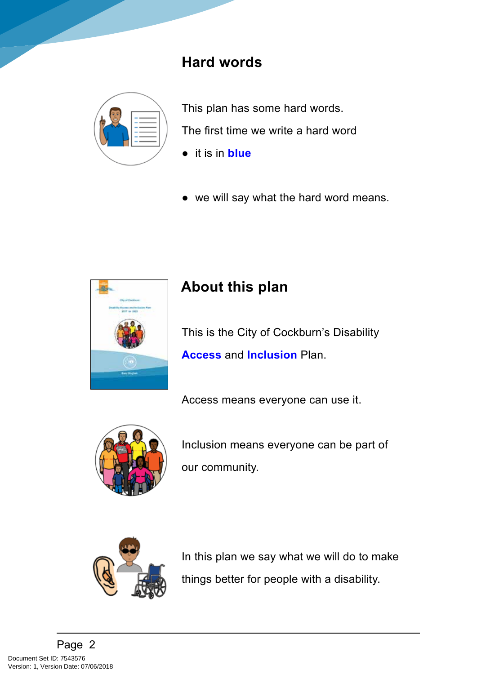### **Hard words**



This plan has some hard words. The first time we write a hard word

- it is in **blue**
- we will say what the hard word means.



## **About this plan**

This is the City of Cockburn's Disability **Access** and **Inclusion** Plan.

Access means everyone can use it.



Inclusion means everyone can be part of our community.



In this plan we say what we will do to make things better for people with a disability.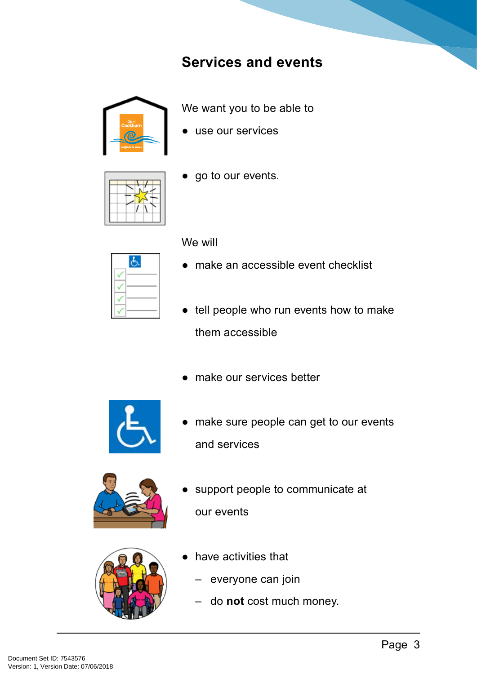#### **Services and events**



We want you to be able to

● use our services



● go to our events.

We will

- make an accessible event checklist
- tell people who run events how to make them accessible
- make our services better



● make sure people can get to our events and services



support people to communicate at our events



- have activities that
	- everyone can join
	- do **not** cost much money.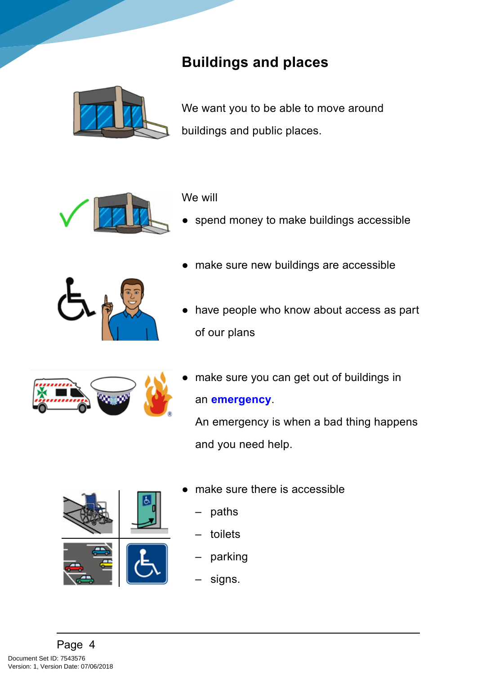## **Buildings and places**



We want you to be able to move around buildings and public places.



#### We will

spend money to make buildings accessible



- make sure new buildings are accessible
- have people who know about access as part of our plans



make sure you can get out of buildings in an **emergency**.

An emergency is when a bad thing happens and you need help.



- make sure there is accessible
	- paths
	- toilets
	- parking
	- signs.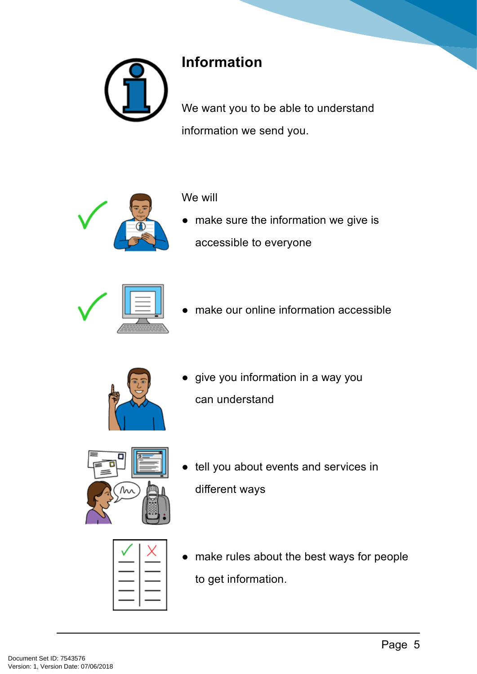

## **Information**

We will

We want you to be able to understand information we send you.



● make sure the information we give is accessible to everyone



make our online information accessible



● give you information in a way you can understand



● tell you about events and services in different ways

● make rules about the best ways for people to get information.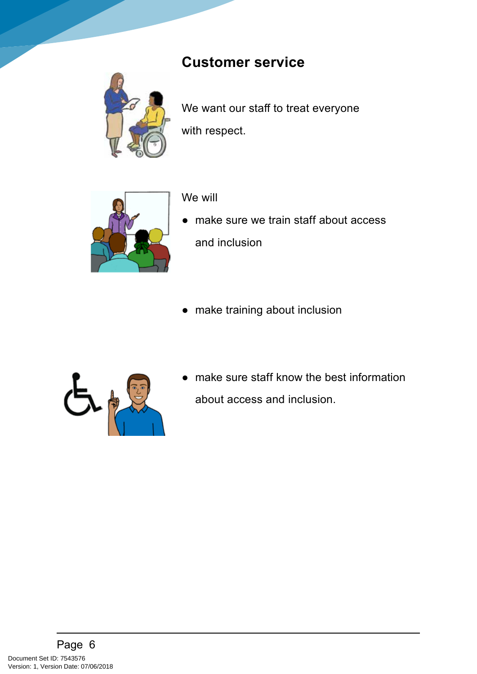### **Customer service**

We will



We want our staff to treat everyone with respect.



- make sure we train staff about access and inclusion
- make training about inclusion



● make sure staff know the best information about access and inclusion.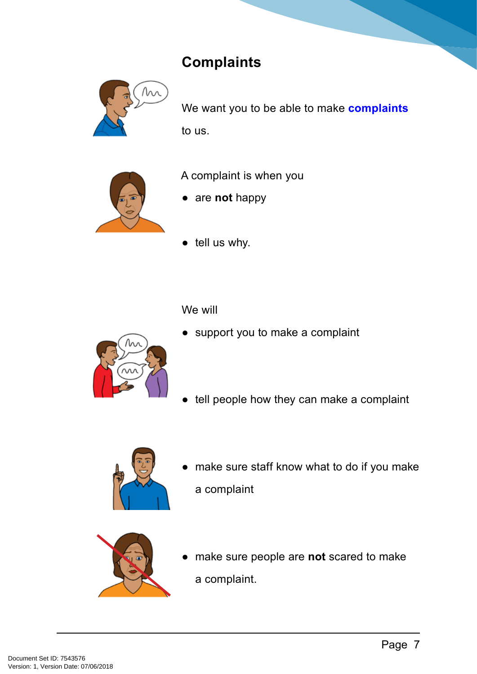## **Complaints**



We want you to be able to make **complaints** to us.



A complaint is when you

- are **not** happy
- tell us why.

We will



- support you to make a complaint
- tell people how they can make a complaint



make sure staff know what to do if you make a complaint



make sure people are **not** scared to make a complaint.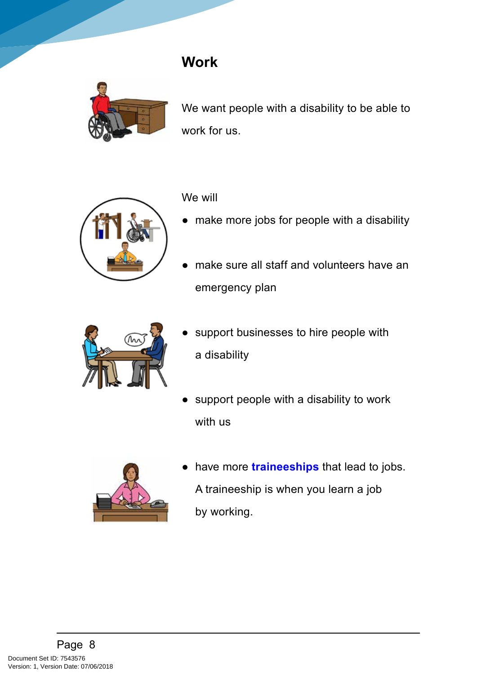#### **Work**



We want people with a disability to be able to work for us.



#### We will

- make more jobs for people with a disability
- make sure all staff and volunteers have an emergency plan



- support businesses to hire people with a disability
- support people with a disability to work with us



have more **traineeships** that lead to jobs. A traineeship is when you learn a job by working.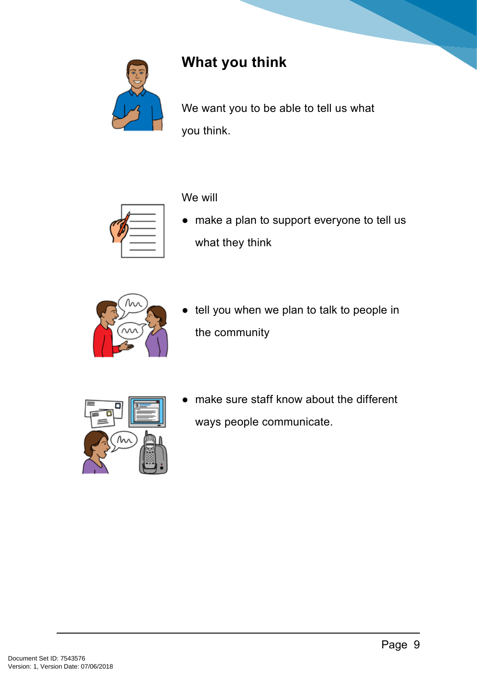

## **What you think**

We will

We want you to be able to tell us what you think.



● make a plan to support everyone to tell us what they think



tell you when we plan to talk to people in the community



● make sure staff know about the different ways people communicate.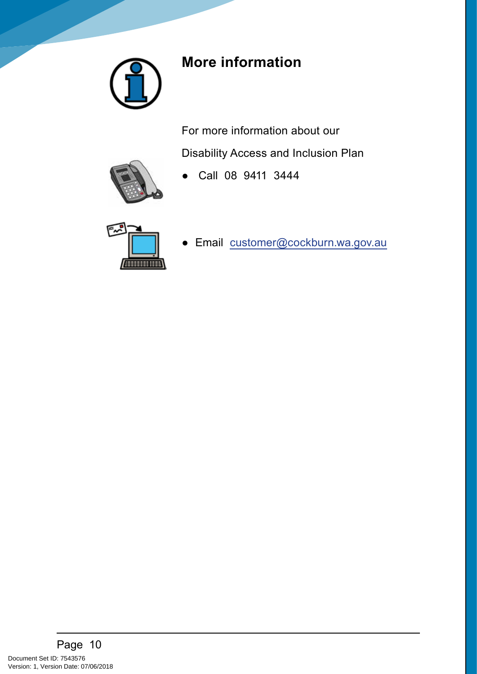

## **More information**

For more information about our

Disability Access and Inclusion Plan

● Call 08 9411 3444



Andrewe

● Email [customer@cockburn.wa.gov.au](mailto:customer@cockburn.wa.gov.au)